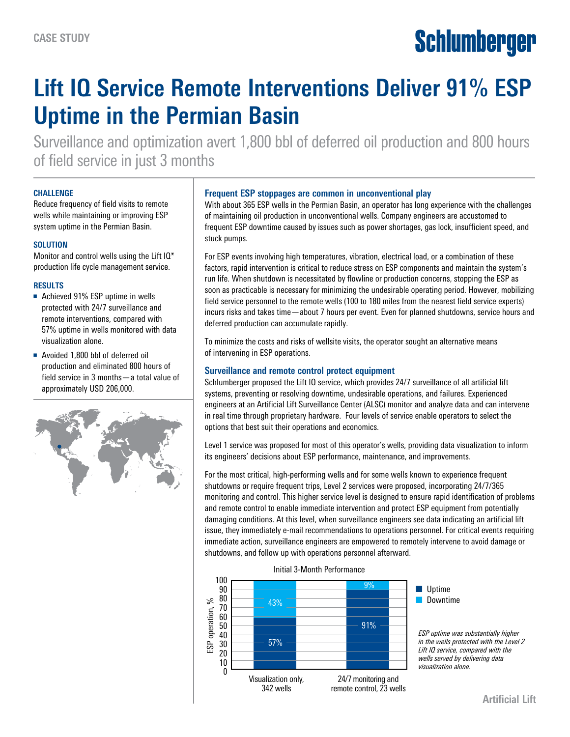# Schlumberger

# **Lift IQ Service Remote Interventions Deliver 91% ESP Uptime in the Permian Basin**

Surveillance and optimization avert 1,800 bbl of deferred oil production and 800 hours of field service in just 3 months

#### **CHALLENGE**

Reduce frequency of field visits to remote wells while maintaining or improving ESP system uptime in the Permian Basin.

#### **SOLUTION**

Monitor and control wells using the Lift IQ\* production life cycle management service.

### **RESULTS**

- Achieved 91% ESP uptime in wells protected with 24/7 surveillance and remote interventions, compared with 57% uptime in wells monitored with data visualization alone.
- Avoided 1,800 bbl of deferred oil production and eliminated 800 hours of field service in 3 months—a total value of approximately USD 206,000.



### **Frequent ESP stoppages are common in unconventional play**

With about 365 ESP wells in the Permian Basin, an operator has long experience with the challenges of maintaining oil production in unconventional wells. Company engineers are accustomed to frequent ESP downtime caused by issues such as power shortages, gas lock, insufficient speed, and stuck pumps.

For ESP events involving high temperatures, vibration, electrical load, or a combination of these factors, rapid intervention is critical to reduce stress on ESP components and maintain the system's run life. When shutdown is necessitated by flowline or production concerns, stopping the ESP as soon as practicable is necessary for minimizing the undesirable operating period. However, mobilizing field service personnel to the remote wells (100 to 180 miles from the nearest field service experts) incurs risks and takes time—about 7 hours per event. Even for planned shutdowns, service hours and deferred production can accumulate rapidly.

To minimize the costs and risks of wellsite visits, the operator sought an alternative means of intervening in ESP operations.

## **Surveillance and remote control protect equipment**

Schlumberger proposed the Lift IQ service, which provides 24/7 surveillance of all artificial lift systems, preventing or resolving downtime, undesirable operations, and failures. Experienced engineers at an Artificial Lift Surveillance Center (ALSC) monitor and analyze data and can intervene in real time through proprietary hardware. Four levels of service enable operators to select the options that best suit their operations and economics.

Level 1 service was proposed for most of this operator's wells, providing data visualization to inform its engineers' decisions about ESP performance, maintenance, and improvements.

For the most critical, high-performing wells and for some wells known to experience frequent shutdowns or require frequent trips, Level 2 services were proposed, incorporating 24/7/365 monitoring and control. This higher service level is designed to ensure rapid identification of problems and remote control to enable immediate intervention and protect ESP equipment from potentially damaging conditions. At this level, when surveillance engineers see data indicating an artificial lift issue, they immediately e-mail recommendations to operations personnel. For critical events requiring immediate action, surveillance engineers are empowered to remotely intervene to avoid damage or shutdowns, and follow up with operations personnel afterward.



Initial 3-Month Performance